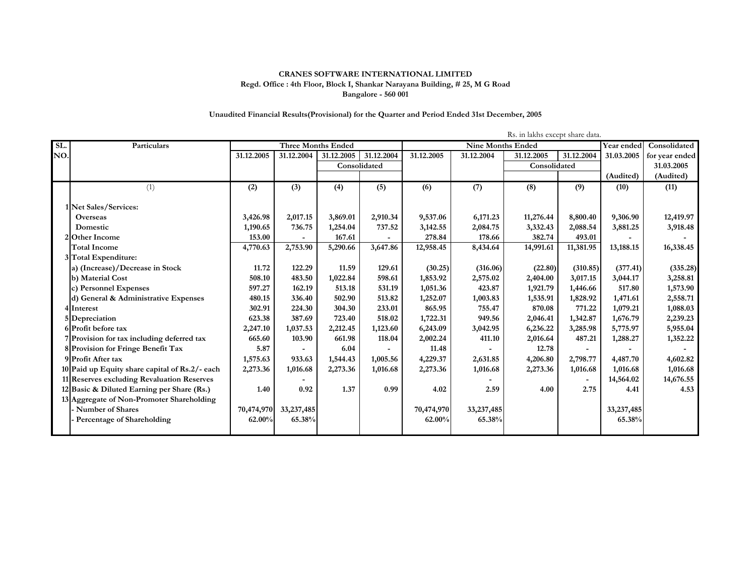## **CRANES SOFTWARE INTERNATIONAL LIMITED Bangalore - 560 001 Regd. Office : 4th Floor, Block I, Shankar Narayana Building, # 25, M G Road**

## **Unaudited Financial Results(Provisional) for the Quarter and Period Ended 31st December, 2005**

|     |                                                |            |                           |            |              |                          | Rs. in lakhs except share data. |              |            |            |                |
|-----|------------------------------------------------|------------|---------------------------|------------|--------------|--------------------------|---------------------------------|--------------|------------|------------|----------------|
| SL. | Particulars                                    |            | <b>Three Months Ended</b> |            |              | <b>Nine Months Ended</b> |                                 |              |            | Year ended | Consolidated   |
| NO. |                                                | 31.12.2005 | 31.12.2004                | 31.12.2005 | 31.12.2004   | 31.12.2005               | 31.12.2004                      | 31.12.2005   | 31.12.2004 | 31.03.2005 | for year ended |
|     |                                                |            |                           |            | Consolidated |                          |                                 | Consolidated |            |            | 31.03.2005     |
|     |                                                |            |                           |            |              |                          |                                 |              |            | (Audited)  | (Audited)      |
|     | (1)                                            | (2)        | (3)                       | (4)        | (5)          | (6)                      | (7)                             | (8)          | (9)        | (10)       | (11)           |
|     | 1 Net Sales/Services:                          |            |                           |            |              |                          |                                 |              |            |            |                |
|     | Overseas                                       | 3,426.98   | 2,017.15                  | 3,869.01   | 2,910.34     | 9,537.06                 | 6,171.23                        | 11,276.44    | 8,800.40   | 9,306.90   | 12,419.97      |
|     | Domestic                                       | 1,190.65   | 736.75                    | 1,254.04   | 737.52       | 3,142.55                 | 2,084.75                        | 3,332.43     | 2,088.54   | 3,881.25   | 3,918.48       |
|     | 2 Other Income                                 | 153.00     |                           | 167.61     |              | 278.84                   | 178.66                          | 382.74       | 493.01     |            |                |
|     | <b>Total Income</b>                            | 4,770.63   | 2,753.90                  | 5,290.66   | 3,647.86     | 12,958.45                | 8,434.64                        | 14,991.61    | 11,381.95  | 13,188.15  | 16,338.45      |
|     | 3 Total Expenditure:                           |            |                           |            |              |                          |                                 |              |            |            |                |
|     | a) (Increase)/Decrease in Stock                | 11.72      | 122.29                    | 11.59      | 129.61       | (30.25)                  | (316.06)                        | (22.80)      | (310.85)   | (377.41)   | (335.28)       |
|     | b) Material Cost                               | 508.10     | 483.50                    | 1,022.84   | 598.61       | 1,853.92                 | 2,575.02                        | 2,404.00     | 3,017.15   | 3,044.17   | 3,258.81       |
|     | c) Personnel Expenses                          | 597.27     | 162.19                    | 513.18     | 531.19       | 1,051.36                 | 423.87                          | 1,921.79     | 1,446.66   | 517.80     | 1,573.90       |
|     | d) General & Administrative Expenses           | 480.15     | 336.40                    | 502.90     | 513.82       | 1,252.07                 | 1,003.83                        | 1,535.91     | 1,828.92   | 1,471.61   | 2,558.71       |
|     | 4 Interest                                     | 302.91     | 224.30                    | 304.30     | 233.01       | 865.95                   | 755.47                          | 870.08       | 771.22     | 1,079.21   | 1,088.03       |
|     | 5 Depreciation                                 | 623.38     | 387.69                    | 723.40     | 518.02       | 1,722.31                 | 949.56                          | 2,046.41     | 1,342.87   | 1,676.79   | 2,239.23       |
|     | 6 Profit before tax                            | 2,247.10   | 1,037.53                  | 2,212.45   | 1,123.60     | 6,243.09                 | 3,042.95                        | 6,236.22     | 3,285.98   | 5,775.97   | 5,955.04       |
|     | 7 Provision for tax including deferred tax     | 665.60     | 103.90                    | 661.98     | 118.04       | 2,002.24                 | 411.10                          | 2,016.64     | 487.21     | 1,288.27   | 1,352.22       |
|     | 8 Provision for Fringe Benefit Tax             | 5.87       |                           | 6.04       |              | 11.48                    |                                 | 12.78        |            |            |                |
|     | 9 Profit After tax                             | 1,575.63   | 933.63                    | 1,544.43   | 1,005.56     | 4,229.37                 | 2,631.85                        | 4,206.80     | 2,798.77   | 4,487.70   | 4,602.82       |
|     | 10 Paid up Equity share capital of Rs.2/- each | 2,273.36   | 1,016.68                  | 2,273.36   | 1,016.68     | 2,273.36                 | 1,016.68                        | 2,273.36     | 1,016.68   | 1,016.68   | 1,016.68       |
|     | 11 Reserves excluding Revaluation Reserves     |            |                           |            |              |                          |                                 |              |            | 14,564.02  | 14,676.55      |
|     | 12 Basic & Diluted Earning per Share (Rs.)     | 1.40       | 0.92                      | 1.37       | 0.99         | 4.02                     | 2.59                            | 4.00         | 2.75       | 4.41       | 4.53           |
|     | 13 Aggregate of Non-Promoter Shareholding      |            |                           |            |              |                          |                                 |              |            |            |                |
|     | - Number of Shares                             | 70,474,970 | 33, 237, 485              |            |              | 70,474,970               | 33, 237, 485                    |              |            | 33,237,485 |                |
|     | - Percentage of Shareholding                   | 62.00%     | 65.38%                    |            |              | 62.00%                   | 65.38%                          |              |            | 65.38%     |                |
|     |                                                |            |                           |            |              |                          |                                 |              |            |            |                |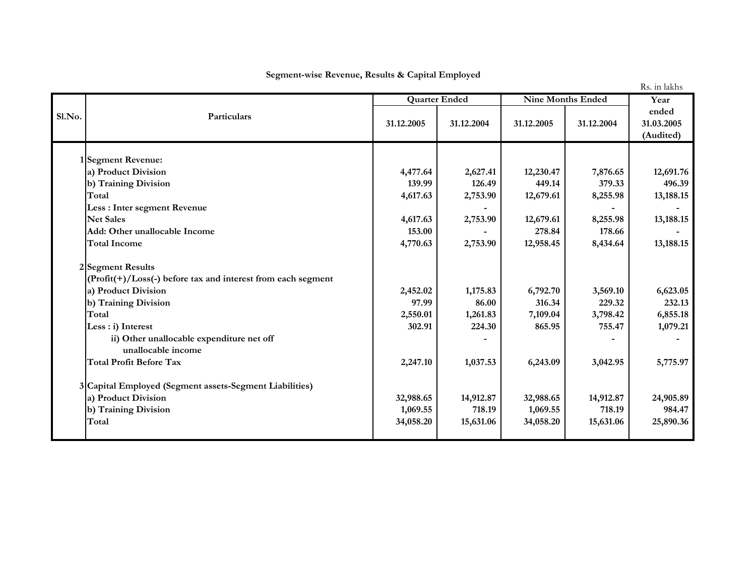|        |                                                                 |            |                      |                          |            | Rs. in lakhs                     |
|--------|-----------------------------------------------------------------|------------|----------------------|--------------------------|------------|----------------------------------|
|        |                                                                 |            | <b>Quarter Ended</b> | <b>Nine Months Ended</b> | Year       |                                  |
| Sl.No. | Particulars                                                     | 31.12.2005 | 31.12.2004           | 31.12.2005               | 31.12.2004 | ended<br>31.03.2005<br>(Audited) |
|        |                                                                 |            |                      |                          |            |                                  |
|        | 1Segment Revenue:                                               |            |                      |                          |            |                                  |
|        | a) Product Division                                             | 4,477.64   | 2,627.41             | 12,230.47                | 7,876.65   | 12,691.76                        |
|        | b) Training Division                                            | 139.99     | 126.49               | 449.14                   | 379.33     | 496.39                           |
|        | Total                                                           | 4,617.63   | 2,753.90             | 12,679.61                | 8,255.98   | 13,188.15                        |
|        | Less : Inter segment Revenue                                    |            |                      |                          |            |                                  |
|        | <b>Net Sales</b>                                                | 4,617.63   | 2,753.90             | 12,679.61                | 8,255.98   | 13,188.15                        |
|        | Add: Other unallocable Income                                   | 153.00     |                      | 278.84                   | 178.66     |                                  |
|        | <b>Total Income</b>                                             | 4,770.63   | 2,753.90             | 12,958.45                | 8,434.64   | 13,188.15                        |
|        | 2 Segment Results                                               |            |                      |                          |            |                                  |
|        | (Profit(+)/Loss(-) before tax and interest from each segment    |            |                      |                          |            |                                  |
|        | a) Product Division                                             | 2,452.02   | 1,175.83             | 6,792.70                 | 3,569.10   | 6,623.05                         |
|        | b) Training Division                                            | 97.99      | 86.00                | 316.34                   | 229.32     | 232.13                           |
|        | Total                                                           | 2,550.01   | 1,261.83             | 7,109.04                 | 3,798.42   | 6,855.18                         |
|        | Less : i) Interest                                              | 302.91     | 224.30               | 865.95                   | 755.47     | 1,079.21                         |
|        | ii) Other unallocable expenditure net off<br>unallocable income |            |                      |                          |            |                                  |
|        | <b>Total Profit Before Tax</b>                                  | 2,247.10   | 1,037.53             | 6,243.09                 | 3,042.95   | 5,775.97                         |
|        | 3 Capital Employed (Segment assets-Segment Liabilities)         |            |                      |                          |            |                                  |
|        | a) Product Division                                             | 32,988.65  | 14,912.87            | 32,988.65                | 14,912.87  | 24,905.89                        |
|        | b) Training Division                                            | 1,069.55   | 718.19               | 1,069.55                 | 718.19     | 984.47                           |
|        | Total                                                           | 34,058.20  | 15,631.06            | 34,058.20                | 15,631.06  | 25,890.36                        |

## **Segment-wise Revenue, Results & Capital Employed**